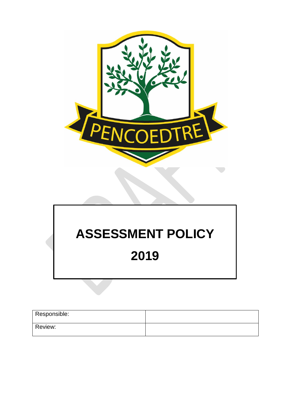

# **ASSESSMENT POLICY**

# **2019**

| Responsible: |  |
|--------------|--|
| Review:      |  |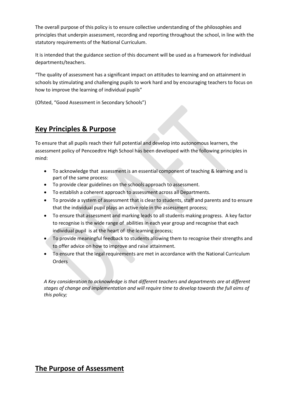The overall purpose of this policy is to ensure collective understanding of the philosophies and principles that underpin assessment, recording and reporting throughout the school, in line with the statutory requirements of the National Curriculum.

It is intended that the guidance section of this document will be used as a framework for individual departments/teachers.

"The quality of assessment has a significant impact on attitudes to learning and on attainment in schools by stimulating and challenging pupils to work hard and by encouraging teachers to focus on how to improve the learning of individual pupils"

(Ofsted, "Good Assessment in Secondary Schools")

# **Key Principles & Purpose**

To ensure that all pupils reach their full potential and develop into autonomous learners, the assessment policy of Pencoedtre High School has been developed with the following principles in mind:

- To acknowledge that assessment is an essential component of teaching & learning and is part of the same process:
- To provide clear guidelines on the schools approach to assessment.
- To establish a coherent approach to assessment across all Departments.
- To provide a system of assessment that is clear to students, staff and parents and to ensure that the individual pupil plays an active role in the assessment process;
- To ensure that assessment and marking leads to all students making progress. A key factor to recognise is the wide range of abilities in each year group and recognise that each individual pupil is at the heart of the learning process;
- To provide meaningful feedback to students allowing them to recognise their strengths and to offer advice on how to improve and raise attainment.
- To ensure that the legal requirements are met in accordance with the National Curriculum Orders

*A Key consideration to acknowledge is that different teachers and departments are at different stages of change and implementation and will require time to develop towards the full aims of this policy;*

# **The Purpose of Assessment**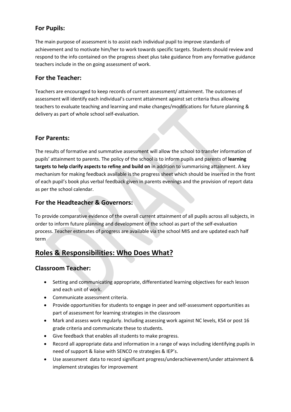# **For Pupils:**

The main purpose of assessment is to assist each individual pupil to improve standards of achievement and to motivate him/her to work towards specific targets. Students should review and respond to the info contained on the progress sheet plus take guidance from any formative guidance teachers include in the on going assessment of work.

# **For the Teacher:**

Teachers are encouraged to keep records of current assessment/ attainment. The outcomes of assessment will identify each individual's current attainment against set criteria thus allowing teachers to evaluate teaching and learning and make changes/modifications for future planning & delivery as part of whole school self-evaluation.

# **For Parents:**

The results of formative and summative assessment will allow the school to transfer information of pupils' attainment to parents. The policy of the school is to inform pupils and parents of **learning targets to help clarify aspects to refine and build on** in addition to summarising attainment. A key mechanism for making feedback available is the progress sheet which should be inserted in the front of each pupil's book plus verbal feedback given in parents evenings and the provision of report data as per the school calendar.

# **For the Headteacher & Governors:**

To provide comparative evidence of the overall current attainment of all pupils across all subjects, in order to inform future planning and development of the school as part of the self-evaluation process. Teacher estimates of progress are available via the school MIS and are updated each half term

# **Roles & Responsibilities: Who Does What?**

# **Classroom Teacher:**

- Setting and communicating appropriate, differentiated learning objectives for each lesson and each unit of work.
- Communicate assessment criteria.
- Provide opportunities for students to engage in peer and self-assessment opportunities as part of assessment for learning strategies in the classroom
- Mark and assess work regularly. Including assessing work against NC levels, KS4 or post 16 grade criteria and communicate these to students.
- Give feedback that enables all students to make progress.
- Record all appropriate data and information in a range of ways including identifying pupils in need of support & liaise with SENCO re strategies & IEP's.
- Use assessment data to record significant progress/underachievement/under attainment & implement strategies for improvement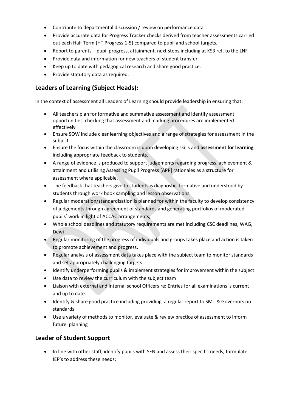- Contribute to departmental discussion / review on performance data
- Provide accurate data for Progress Tracker checks derived from teacher assessments carried out each Half Term (HT Progress 1-5) compared to pupil and school targets.
- Report to parents pupil progress, attainment, next steps including at KS3 ref. to the LNF
- Provide data and information for new teachers of student transfer.
- Keep up to date with pedagogical research and share good practice.
- Provide statutory data as required.

# **Leaders of Learning (Subject Heads):**

In the context of assessment all Leaders of Learning should provide leadership in ensuring that:

- All teachers plan for formative and summative assessment and identify assessment opportunities checking that assessment and marking procedures are implemented effectively
- Ensure SOW include clear learning objectives and a range of strategies for assessment in the subject
- Ensure the focus within the classroom is upon developing skills and **assessment for learning**, including appropriate feedback to students.
- A range of evidence is produced to support judgements regarding progress, achievement & attainment and utilising Assessing Pupil Progress [APP] rationales as a structure for assessment where applicable.
- The feedback that teachers give to students is diagnostic, formative and understood by students through work book sampling and lesson observations.
- Regular moderation/standardisation is planned for within the faculty to develop consistency of judgements through agreement of standards and generating portfolios of moderated pupils' work in light of ACCAC arrangements;
- Whole school deadlines and statutory requirements are met including CSC deadlines, WAG, Dewi
- Regular monitoring of the progress of individuals and groups takes place and action is taken to promote achievement and progress.
- Regular analysis of assessment data takes place with the subject team to monitor standards and set appropriately challenging targets
- Identify underperforming pupils & implement strategies for improvement within the subject
- Use data to review the curriculum with the subject team
- Liaison with external and internal school Officers re: Entries for all examinations is current and up to date.
- Identify & share good practice including providing a regular report to SMT & Governors on standards
- Use a variety of methods to monitor, evaluate & review practice of assessment to inform future planning

# **Leader of Student Support**

• In line with other staff, identify pupils with SEN and assess their specific needs, formulate IEP's to address these needs;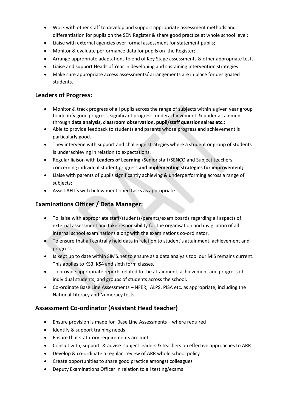- Work with other staff to develop and support appropriate assessment methods and differentiation for pupils on the SEN Register & share good practice at whole school level;
- Liaise with external agencies over formal assessment for statement pupils;
- Monitor & evaluate performance data for pupils on the Register;
- Arrange appropriate adaptations to end of Key Stage assessments & other appropriate tests
- Liaise and support Heads of Year in developing and sustaining intervention strategies
- Make sure appropriate access assessments/ arrangements are in place for designated students.

# **Leaders of Progress:**

- Monitor & track progress of all pupils across the range of subjects within a given year group to identify good progress, significant progress, underachievement & under attainment through **data analysis, classroom observation, pupil/staff questionnaires etc.;**
- Able to provide feedback to students and parents whose progress and achievement is particularly good.
- They intervene with support and challenge strategies where a student or group of students is underachieving in relation to expectations.
- Regular liaison with **Leaders of Learning** /Senior staff/SENCO and Subject teachers concerning individual student progress **and implementing strategies for improvement;**
- Liaise with parents of pupils significantly achieving & underperforming across a range of subjects;
- Assist AHT's with below mentioned tasks as appropriate.

# **Examinations Officer / Data Manager:**

- To liaise with appropriate staff/students/parents/exam boards regarding all aspects of external assessment and take responsibility for the organisation and invigilation of all internal school examinations along with the examinations co-ordinator.
- To ensure that all centrally held data in relation to student's attainment, achievement and progress
- Is kept up to date within SIMS.net to ensure as a data analysis tool our MIS remains current. This applies to KS3, KS4 and sixth form classes.
- To provide appropriate reports related to the attainment, achievement and progress of individual students, and groups of students across the school.
- Co-ordinate Base Line Assessments NFER, ALPS, PISA etc. as appropriate, including the National Literacy and Numeracy tests

# **Assessment Co-ordinator (Assistant Head teacher)**

- Ensure provision is made for Base Line Assessments where required
- Identify & support training needs
- Ensure that statutory requirements are met
- Consult with, support & advise subject leaders & teachers on effective approaches to ARR
- Develop & co-ordinate a regular review of ARR whole school policy
- Create opportunities to share good practice amongst colleagues
- Deputy Examinations Officer in relation to all testing/exams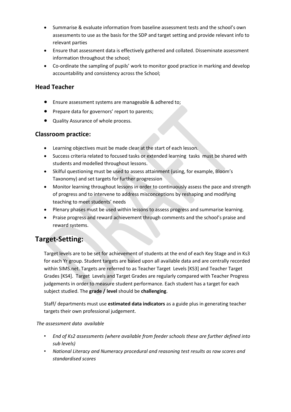- Summarise & evaluate information from baseline assessment tests and the school's own assessments to use as the basis for the SDP and target setting and provide relevant info to relevant parties
- Ensure that assessment data is effectively gathered and collated. Disseminate assessment information throughout the school;
- Co-ordinate the sampling of pupils' work to monitor good practice in marking and develop accountability and consistency across the School;

# **Head Teacher**

- Ensure assessment systems are manageable & adhered to;
- Prepare data for governors' report to parents;
- Quality Assurance of whole process.

# **Classroom practice:**

- Learning objectives must be made clear at the start of each lesson.
- Success criteria related to focused tasks or extended learning tasks must be shared with students and modelled throughout lessons.
- Skilful questioning must be used to assess attainment (using, for example, Bloom's Taxonomy) and set targets for further progression
- Monitor learning throughout lessons in order to continuously assess the pace and strength of progress and to intervene to address misconceptions by reshaping and modifying teaching to meet students' needs
- Plenary phases must be used within lessons to assess progress and summarise learning.
- Praise progress and reward achievement through comments and the school's praise and reward systems.

# **Target-Setting:**

Target levels are to be set for achievement of students at the end of each Key Stage and in Ks3 for each Yr group. Student targets are based upon all available data and are centrally recorded within SIMS.net. Targets are referred to as Teacher Target Levels [KS3] and Teacher Target Grades [KS4]. Target Levels and Target Grades are regularly compared with Teacher Progress judgements in order to measure student performance. Each student has a target for each subject studied. The **grade / level** should be **challenging**.

Staff/ departments must use **estimated data indicators** as a guide plus in generating teacher targets their own professional judgement.

#### *The assessment data available*

- *End of Ks2 assessments (where available from feeder schools these are further defined into sub levels)*
- *National Literacy and Numeracy procedural and reasoning test results as raw scores and standardised scores*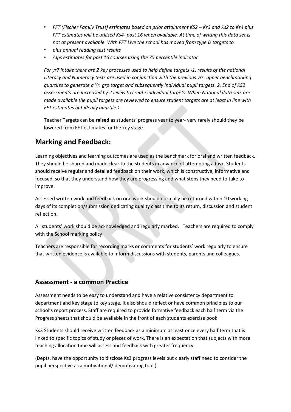- *FFT (Fischer Family Trust) estimates based on prior attainment KS2 – Ks3 and Ks2 to Ks4 plus FFT estimates will be utilised Ks4- post 16 when available. At time of writing this data set is not at present available. With FFT Live the school has moved from type D targets to*
- *plus annual reading test results*
- *Alps estimates for post 16 courses using the 75 percentile indicator*

*For yr7 intake there are 2 key processes used to help define targets -1. results of the national Literacy and Numeracy tests are used in conjunction with the previous yrs. upper benchmarking quartiles to generate a Yr. grp target and subsequently individual pupil targets. 2. End of KS2 assessments are increased by 2 levels to create individual targets. When National data sets are made available the pupil targets are reviewed to ensure student targets are at least in line with FFT estimates but ideally quartile 1.*

Teacher Targets can be **raised** as students' progress year to year- very rarely should they be lowered from FFT estimates for the key stage.

# **Marking and Feedback:**

Learning objectives and learning outcomes are used as the benchmark for oral and written feedback. They should be shared and made clear to the students in advance of attempting a task. Students should receive regular and detailed feedback on their work, which is constructive, informative and focused, so that they understand how they are progressing and what steps they need to take to improve.

Assessed written work and feedback on oral work should normally be returned within 10 working days of its completion/submission dedicating quality class time to its return, discussion and student reflection.

All students' work should be acknowledged and regularly marked. Teachers are required to comply with the School marking policy

Teachers are responsible for recording marks or comments for students' work regularly to ensure that written evidence is available to inform discussions with students, parents and colleagues.

# **Assessment - a common Practice**

Assessment needs to be easy to understand and have a relative consistency department to department and key stage to key stage. It also should reflect or have common principles to our school's report process. Staff are required to provide formative feedback each half term via the Progress sheets that should be available in the front of each students exercise book

Ks3 Students should receive written feedback as a minimum at least once every half term that is linked to specific topics of study or pieces of work. There is an expectation that subjects with more teaching allocation time will assess and feedback with greater frequency.

(Depts. have the opportunity to disclose Ks3 progress levels but clearly staff need to consider the pupil perspective as a motivational/ demotivating tool.)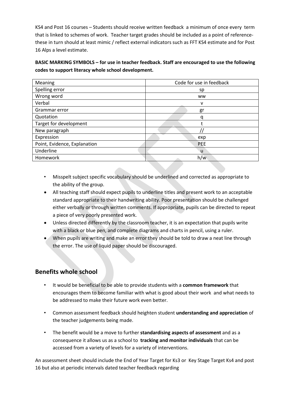KS4 and Post 16 courses – Students should receive written feedback a minimum of once every term that is linked to schemes of work. Teacher target grades should be included as a point of referencethese in turn should at least mimic / reflect external indicators such as FFT KS4 estimate and for Post 16 Alps a level estimate.

**BASIC MARKING SYMBOLS – for use in teacher feedback. Staff are encouraged to use the following codes to support literacy whole school development.**

| Meaning                      | Code for use in feedback |
|------------------------------|--------------------------|
| Spelling error               | sp                       |
| Wrong word                   | <b>WW</b>                |
| Verbal                       | v                        |
| Grammar error                | gr                       |
| Quotation                    | q                        |
| Target for development       |                          |
| New paragraph                |                          |
| Expression                   | exp                      |
| Point, Evidence, Explanation | <b>PEE</b>               |
| Underline                    | u                        |
| Homework                     | h/w                      |

- Misspelt subject specific vocabulary should be underlined and corrected as appropriate to the ability of the group.
- All teaching staff should expect pupils to underline titles and present work to an acceptable standard appropriate to their handwriting ability. Poor presentation should be challenged either verbally or through written comments. If appropriate, pupils can be directed to repeat a piece of very poorly presented work.
- Unless directed differently by the classroom teacher, it is an expectation that pupils write with a black or blue pen, and complete diagrams and charts in pencil, using a ruler.
- When pupils are writing and make an error they should be told to draw a neat line through the error. The use of liquid paper should be discouraged.

# **Benefits whole school**

- It would be beneficial to be able to provide students with a **common framework** that encourages them to become familiar with what is good about their work and what needs to be addressed to make their future work even better.
- Common assessment feedback should heighten student **understanding and appreciation** of the teacher judgements being made.
- The benefit would be a move to further **standardising aspects of assessment** and as a consequence it allows us as a school to **tracking and monitor individuals** that can be accessed from a variety of levels for a variety of interventions.

An assessment sheet should include the End of Year Target for Ks3 or Key Stage Target Ks4 and post 16 but also at periodic intervals dated teacher feedback regarding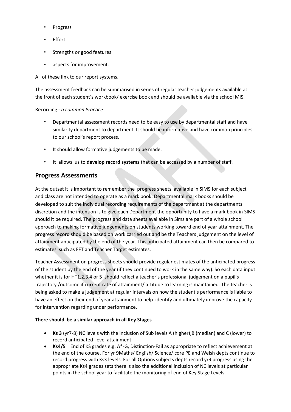- **Progress**
- **Effort**
- Strengths or good features
- aspects for improvement.

All of these link to our report systems.

The assessment feedback can be summarised in series of regular teacher judgements available at the front of each student's workbook/ exercise book and should be available via the school MIS.

#### Recording - *a common Practice*

- Departmental assessment records need to be easy to use by departmental staff and have similarity department to department. It should be informative and have common principles to our school's report process.
- It should allow formative judgements to be made.
- It allows us to **develop record systems** that can be accessed by a number of staff.

# **Progress Assessments**

At the outset it is important to remember the progress sheets available in SIMS for each subject and class are not intended to operate as a mark book. Departmental mark books should be developed to suit the individual recording requirements of the department at the departments discretion and the intention is to give each Department the opportunity to have a mark book in SIMS should it be required. The progress and data sheets available in Sims are part of a whole school approach to making formative judgements on students working toward end of year attainment. The progress record should be based on work carried out and be the Teachers judgement on the level of attainment anticipated by the end of the year. This anticipated attainment can then be compared to estimates such as FFT and Teacher Target estimates.

Teacher Assessment on progress sheets should provide regular estimates of the anticipated progress of the student by the end of the year (if they continued to work in the same way). So each data input whether it is for HT1,2,3,4 or 5 should reflect a teacher's professional judgement on a pupil's trajectory /outcome if current rate of attainment/ attitude to learning is maintained. The teacher is being asked to make a judgement at regular intervals on how the student's performance is liable to have an effect on their end of year attainment to help identify and ultimately improve the capacity for intervention regarding under performance.

#### **There should be a similar approach in all Key Stages**

- **Ks 3** (yr7-8) NC levels with the inclusion of Sub levels A (higher),B (median) and C (lower) to record anticipated level attainment.
- **Ks4/5** End of KS grades e.g. A\*-G, Distinction-Fail as appropriate to reflect achievement at the end of the course. For yr 9Maths/ English/ Science/ core PE and Welsh depts continue to record progress with Ks3 levels. For all Options subjects depts record yr9 progress using the appropriate Ks4 grades sets there is also the additional inclusion of NC levels at particular points in the school year to facilitate the monitoring of end of Key Stage Levels.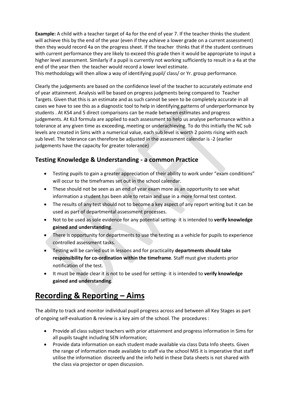**Example:** A child with a teacher target of 4a for the end of year 7. If the teacher thinks the student will achieve this by the end of the year (even if they achieve a lower grade on a current assessment) then they would record 4a on the progress sheet. If the teacher thinks that if the student continues with current performance they are likely to exceed this grade then it would be appropriate to input a higher level assessment. Similarly if a pupil is currently not working sufficiently to result in a 4a at the end of the year then the teacher would record a lower level estimate.

This methodology will then allow a way of identifying pupil/ class/ or Yr. group performance.

Clearly the judgements are based on the confidence level of the teacher to accurately estimate end of year attainment. Analysis will be based on progress judgments being compared to Teacher Targets. Given that this is an estimate and as such cannot be seen to be completely accurate in all cases we have to see this as a diagnostic tool to help in identifying patterns of underperformance by students . At KS4 and 5 direct comparisons can be made between estimates and progress judgements. At Ks3 formula are applied to each assessment to help us analyse performance within a tolerance at any given time as exceeding, meeting or underachieving. To do this initially the NC sub levels are created in Sims with a numerical value, each sub level is worth 2 points rising with each sub level. The tolerance can therefore be adjusted in the assessment calendar is -2 (earlier judgements have the capacity for greater tolerance)

# **Testing Knowledge & Understanding - a common Practice**

- Testing pupils to gain a greater appreciation of their ability to work under "exam conditions" will occur to the timeframes set out in the school calendar.
- These should not be seen as an end of year exam more as an opportunity to see what information a student has been able to retain and use in a more formal test context.
- The results of any test should not to become a key aspect of any report writing but it can be used as part of departmental assessment processes.
- Not to be used as sole evidence for any potential setting- it is intended to **verify knowledge gained and understanding**.
- There is opportunity for departments to use the testing as a vehicle for pupils to experience controlled assessment tasks.
- Testing will be carried out in lessons and for practicality **departments should take responsibility for co-ordination within the timeframe**. Staff must give students prior notification of the test.
- It must be made clear it is not to be used for setting- it is intended to **verify knowledge gained and understanding**.

# **Recording & Reporting - Aims**

The ability to track and monitor individual pupil progress across and between all Key Stages as part of ongoing self-evaluation & review is a key aim of the school. The procedures :

- Provide all class subject teachers with prior attainment and progress information in Sims for all pupils taught including SEN information;
- Provide data information on each student made available via class Data Info sheets. Given the range of information made available to staff via the school MIS it is imperative that staff utilise the information discreetly and the info held in these Data sheets is not shared with the class via projector or open discussion.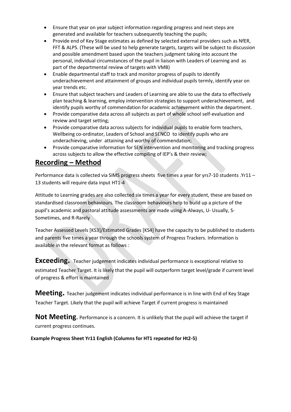- Ensure that year on year subject information regarding progress and next steps are generated and available for teachers subsequently teaching the pupils;
- Provide end of Key Stage estimates as defined by selected external providers such as NfER, FFT & ALPS. (These will be used to help generate targets, targets will be subject to discussion and possible amendment based upon the teachers judgment taking into account the personal, individual circumstances of the pupil in liaison with Leaders of Learning and as part of the departmental review of targets with VMB)
- Enable departmental staff to track and monitor progress of pupils to identify underachievement and attainment of groups and individual pupils termly, identify year on year trends etc.
- Ensure that subject teachers and Leaders of Learning are able to use the data to effectively plan teaching & learning, employ intervention strategies to support underachievement, and identify pupils worthy of commendation for academic achievement within the department.
- Provide comparative data across all subjects as part of whole school self-evaluation and review and target setting;
- Provide comparative data across subjects for individual pupils to enable form teachers, Wellbeing co-ordinator, Leaders of School and SENCO to identify pupils who are underachieving, under attaining and worthy of commendation;
- Provide comparative information for SEN intervention and monitoring and tracking progress across subjects to allow the effective compiling of IEP's & their review;

# **Recording – Method**

Performance data is collected via SIMS progress sheets five times a year for yrs7-10 students .Yr11 – 13 students will require data input HT1-4

Attitude to Learning grades are also collected six times a year for every student, these are based on standardised classroom behaviours. The classroom behaviours help to build up a picture of the pupil's academic and pastoral attitude assessments are made using A-Always, U- Usually, S-Sometimes, and R-Rarely

Teacher Assessed Levels [KS3]/Estimated Grades [KS4] have the capacity to be published to students and parents five times a year through the schools system of Progress Trackers. Information is available in the relevant format as follows :

**Exceeding.** Teacher judgement indicates individual performance is exceptional relative to estimated Teacher Target. It is likely that the pupil will outperform target level/grade if current level of progress & effort is maintained

**Meeting.** Teacher judgement indicates individual performance is in line with End of Key Stage Teacher Target. Likely that the pupil will achieve Target if current progress is maintained

**Not Meeting.** Performance is a concern. It is unlikely that the pupil will achieve the target if current progress continues.

**Example Progress Sheet Yr11 English (Columns for HT1 repeated for Ht2-5)**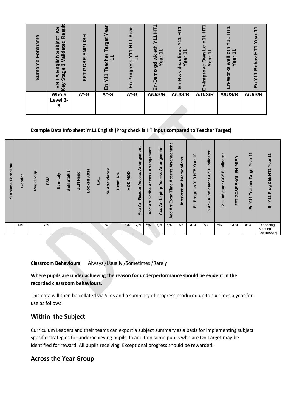| em<br>ᄛ<br>한<br>ē<br>ω<br>nam<br>ູ້ສ | ဖ္ပ<br>n<br>œ<br>ï۱<br>ਠ<br>date<br>g<br>$\Omega$<br>æ<br>顶<br>ත<br>ო<br>္တိ<br><u>ო</u><br>ທັ<br>Ğ<br>ш | ENGLIS<br><b>CSE</b><br>ŏ<br>뇬 | rget<br>සි<br>T<br>Σ<br>ய | Yeal<br>Ę<br>$\overline{\phantom{0}}$<br>ے<br>ress<br>rogr<br>민 | ٣.<br>보<br>ౚ<br>ω<br>ਹ<br>ш | 눈<br>$\blacktriangledown$<br>⋝<br>U)<br>᠇<br>G)<br>deadli<br>Year<br>Hwk<br>面 | ω<br>ear<br>Ó<br>$\omega$ | Σ<br>Yea<br>wel<br><u>ତୁ</u><br><b>Morl</b><br>띧 | ලි<br>Behav<br>ய |
|--------------------------------------|----------------------------------------------------------------------------------------------------------|--------------------------------|---------------------------|-----------------------------------------------------------------|-----------------------------|-------------------------------------------------------------------------------|---------------------------|--------------------------------------------------|------------------|
|                                      | Whole<br>Level 3-<br>8                                                                                   | $A^*$ -G                       | $A^*$ -G                  | $A^*$ -G                                                        | A/U/S/R                     | A/U/S/R                                                                       | A/U/S/R                   | A/U/S/R                                          | A/U/S/R          |

#### **Example Data Info sheet Yr11 English (Prog check is HT input compared to Teacher Target)**

| Forename<br><b>Surname</b> | Gender | Group<br>Reg | FSM | Ethnicity | <b>Status</b><br><b>SEN</b> | <b>SEN Need</b> | <b>After</b><br>ooked | ₫ | Attendance<br>వి | ہ<br>2<br>Exam | OOM<br>NOD | Arrangement<br>ccess<br>$\mathbf{I}$<br>Reader<br>Arr<br>Acc | Arrangement<br>Access<br><b>Scribe</b><br>Αrr<br><b>Acc</b> | Arrangement<br>Access<br>Laptop<br>ξ<br>Acc | Arrangement<br>ccess<br>⋖<br>Time<br>Extra<br>ĀΓ<br>ပ္ပ<br>⋖ | Interventions<br>Intervention | 0<br>Year<br>HT <sub>5</sub><br>$\frac{6}{5}$<br>rogress<br><b>Q</b><br>띧 | Indicator<br>GCSE<br>Indicator<br>⋖<br>$\star$<br>⋖<br>မာ | ato<br>ت<br><del>قا</del><br>ڠ<br>98<br>ن<br>ق<br>cato<br>Ĕ<br>-<br>N | PRED<br>ENGLISH<br>GCSE<br>눈 | ᠇<br>$\overline{\phantom{0}}$<br>Year<br><b>Target</b><br>Teacher<br>$\overline{\phantom{0}}$<br>$\overline{\phantom{0}}$<br>≻<br>띧 | Year<br>Ě<br>Prog Chk<br>ንገ<br>品    |
|----------------------------|--------|--------------|-----|-----------|-----------------------------|-----------------|-----------------------|---|------------------|----------------|------------|--------------------------------------------------------------|-------------------------------------------------------------|---------------------------------------------|--------------------------------------------------------------|-------------------------------|---------------------------------------------------------------------------|-----------------------------------------------------------|-----------------------------------------------------------------------|------------------------------|-------------------------------------------------------------------------------------------------------------------------------------|-------------------------------------|
|                            | M/F    |              | Y/N |           |                             |                 |                       |   | %                |                | Y/N        | Y/N                                                          | Y/N                                                         | Y/N                                         | Y/N                                                          | Y/N                           | A*-G                                                                      | Y/N                                                       | Y/N                                                                   | A*-G                         | A*-G                                                                                                                                | Exceeding<br>Meeting<br>Not meeting |

**Classroom Behaviours** Always /Usually /Sometimes /Rarely

### **Where pupils are under achieving the reason for underperformance should be evident in the recorded classroom behaviours.**

This data will then be collated via Sims and a summary of progress produced up to six times a year for use as follows:

# **Within the Subject**

Curriculum Leaders and their teams can export a subject summary as a basis for implementing subject specific strategies for underachieving pupils. In addition some pupils who are On Target may be identified for reward. All pupils receiving Exceptional progress should be rewarded.

# **Across the Year Group**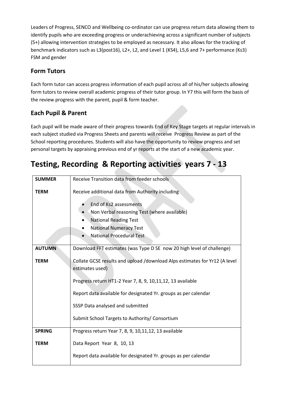Leaders of Progress, SENCO and Wellbeing co-ordinator can use progress return data allowing them to identify pupils who are exceeding progress or underachieving across a significant number of subjects (5+) allowing intervention strategies to be employed as necessary. It also allows for the tracking of benchmark indicators such as L3(post16), L2+, L2, and Level 1 (KS4), L5,6 and 7+ performance (Ks3) FSM and gender

# **Form Tutors**

Each form tutor can access progress information of each pupil across all of his/her subjects allowing form tutors to review overall academic progress of their tutor group. In Y7 this will form the basis of the review progress with the parent, pupil & form teacher.

# **Each Pupil & Parent**

Each pupil will be made aware of their progress towards End of Key Stage targets at regular intervals in each subject studied via Progress Sheets and parents will receive Progress Review as part of the School reporting procedures. Students will also have the opportunity to review progress and set personal targets by appraising previous end of yr reports at the start of a new academic year.

# **Testing, Recording & Reporting activities years 7 - 13**

| <b>SUMMER</b> | Receive Transition data from feeder schools                                                   |  |  |  |  |  |  |  |  |  |
|---------------|-----------------------------------------------------------------------------------------------|--|--|--|--|--|--|--|--|--|
| <b>TERM</b>   | Receive additional data from Authority including                                              |  |  |  |  |  |  |  |  |  |
|               | End of Ks2 assessments                                                                        |  |  |  |  |  |  |  |  |  |
|               | Non Verbal reasoning Test (where available)<br><b>National Reading Test</b>                   |  |  |  |  |  |  |  |  |  |
|               | <b>National Numeracy Test</b>                                                                 |  |  |  |  |  |  |  |  |  |
|               | <b>National Procedural Test</b>                                                               |  |  |  |  |  |  |  |  |  |
| <b>AUTUMN</b> | Download FFT estimates (was Type D SE now 20 high level of challenge)                         |  |  |  |  |  |  |  |  |  |
| <b>TERM</b>   | Collate GCSE results and upload /download Alps estimates for Yr12 (A level<br>estimates used) |  |  |  |  |  |  |  |  |  |
|               | Progress return HT1-2 Year 7, 8, 9, 10, 11, 12, 13 available                                  |  |  |  |  |  |  |  |  |  |
|               | Report data available for designated Yr. groups as per calendar                               |  |  |  |  |  |  |  |  |  |
|               | SSSP Data analysed and submitted                                                              |  |  |  |  |  |  |  |  |  |
|               | Submit School Targets to Authority/ Consortium                                                |  |  |  |  |  |  |  |  |  |
| <b>SPRING</b> | Progress return Year 7, 8, 9, 10,11,12, 13 available                                          |  |  |  |  |  |  |  |  |  |
| <b>TERM</b>   | Data Report Year 8, 10, 13                                                                    |  |  |  |  |  |  |  |  |  |
|               | Report data available for designated Yr. groups as per calendar                               |  |  |  |  |  |  |  |  |  |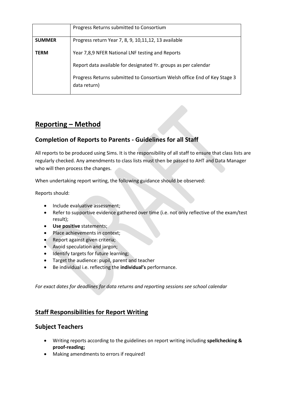|               | Progress Returns submitted to Consortium                                                 |
|---------------|------------------------------------------------------------------------------------------|
| <b>SUMMER</b> | Progress return Year 7, 8, 9, 10, 11, 12, 13 available                                   |
| <b>TERM</b>   | Year 7,8,9 NFER National LNF testing and Reports                                         |
|               | Report data available for designated Yr. groups as per calendar                          |
|               | Progress Returns submitted to Consortium Welsh office End of Key Stage 3<br>data return) |

# **Reporting – Method**

# **Completion of Reports to Parents - Guidelines for all Staff**

All reports to be produced using Sims. It is the responsibility of all staff to ensure that class lists are regularly checked. Any amendments to class lists must then be passed to AHT and Data Manager who will then process the changes.

When undertaking report writing, the following guidance should be observed:

Reports should:

- Include evaluative assessment;
- Refer to supportive evidence gathered over time (i.e. not only reflective of the exam/test result);
- **Use positive** statements;
- Place achievements in context;
- Report against given criteria;
- Avoid speculation and jargon;
- Identify targets for future learning;
- Target the audience: pupil, parent and teacher
- Be individual i.e. reflecting the **individual's** performance.

*For exact dates for deadlines for data returns and reporting sessions see school calendar*

# **Staff Responsibilities for Report Writing**

#### **Subject Teachers**

- Writing reports according to the guidelines on report writing including **spellchecking & proof-reading;**
- Making amendments to errors if required!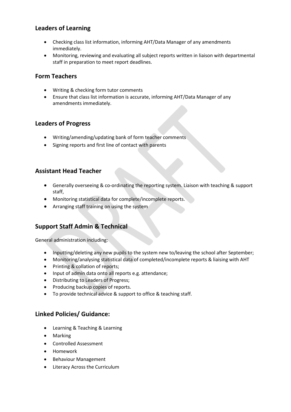# **Leaders of Learning**

- Checking class list information, informing AHT/Data Manager of any amendments immediately.
- Monitoring, reviewing and evaluating all subject reports written in liaison with departmental staff in preparation to meet report deadlines.

# **Form Teachers**

- Writing & checking form tutor comments
- Ensure that class list information is accurate, informing AHT/Data Manager of any amendments immediately.

### **Leaders of Progress**

- Writing/amending/updating bank of form teacher comments
- Signing reports and first line of contact with parents

# **Assistant Head Teacher**

- Generally overseeing & co-ordinating the reporting system. Liaison with teaching & support staff,
- Monitoring statistical data for complete/incomplete reports.
- Arranging staff training on using the system

# **Support Staff Admin & Technical**

General administration including:

- Inputting/deleting any new pupils to the system new to/leaving the school after September;
- Monitoring/analysing statistical data of completed/incomplete reports & liaising with AHT
- Printing & collation of reports;
- Input of admin data onto all reports e.g. attendance;
- Distributing to Leaders of Progress;
- Producing backup copies of reports.
- To provide technical advice & support to office & teaching staff.

# **Linked Policies/ Guidance:**

- Learning & Teaching & Learning
- Marking
- Controlled Assessment
- Homework
- Behaviour Management
- Literacy Across the Curriculum